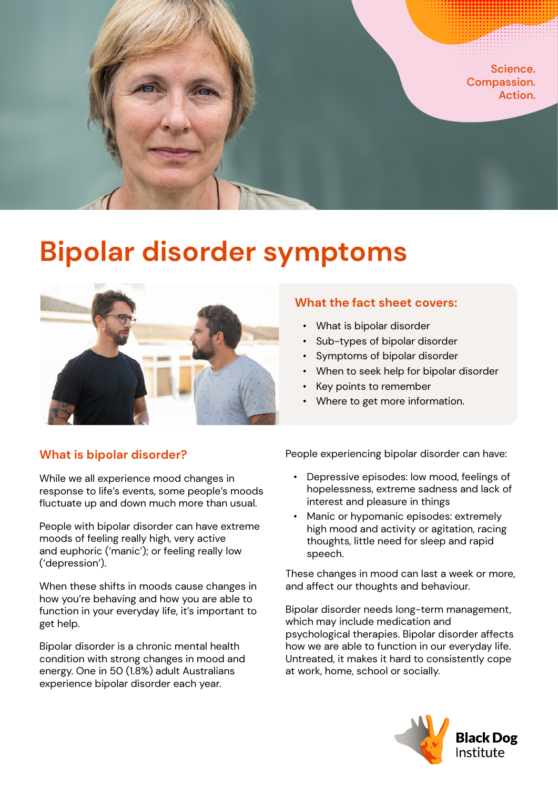

# **Bipolar disorder symptoms**



## **What the fact sheet covers:**

- What is bipolar disorder
- Sub-types of bipolar disorder
- Symptoms of bipolar disorder
- When to seek help for bipolar disorder
- Key points to remember
- Where to get more information.

## **What is bipolar disorder?**

While we all experience mood changes in response to life's events, some people's moods fluctuate up and down much more than usual.

People with bipolar disorder can have extreme moods of feeling really high, very active and euphoric ('manic'); or feeling really low ('depression').

When these shifts in moods cause changes in how you're behaving and how you are able to function in your everyday life, it's important to get help.

Bipolar disorder is a chronic mental health condition with strong changes in mood and energy. One in 50 (1.8%) adult Australians experience bipolar disorder each year.

People experiencing bipolar disorder can have:

- Depressive episodes: low mood, feelings of hopelessness, extreme sadness and lack of interest and pleasure in things
- Manic or hypomanic episodes: extremely high mood and activity or agitation, racing thoughts, little need for sleep and rapid speech.

These changes in mood can last a week or more, and affect our thoughts and behaviour.

Bipolar disorder needs long-term management, which may include medication and psychological therapies. Bipolar disorder affects how we are able to function in our everyday life. Untreated, it makes it hard to consistently cope at work, home, school or socially.

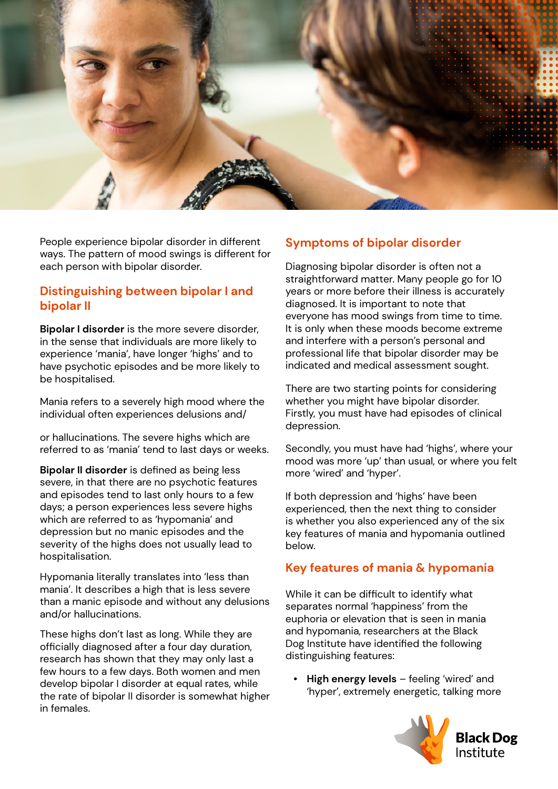

People experience bipolar disorder in different ways. The pattern of mood swings is different for each person with bipolar disorder.

#### **Distinguishing between bipolar I and bipolar II**

**Bipolar I disorder** is the more severe disorder, in the sense that individuals are more likely to experience 'mania', have longer 'highs' and to have psychotic episodes and be more likely to be hospitalised.

Mania refers to a severely high mood where the individual often experiences delusions and/

or hallucinations. The severe highs which are referred to as 'mania' tend to last days or weeks.

**Bipolar II disorder** is defined as being less severe, in that there are no psychotic features and episodes tend to last only hours to a few days; a person experiences less severe highs which are referred to as 'hypomania' and depression but no manic episodes and the severity of the highs does not usually lead to hospitalisation.

Hypomania literally translates into 'less than mania'. It describes a high that is less severe than a manic episode and without any delusions and/or hallucinations.

These highs don't last as long. While they are officially diagnosed after a four day duration, research has shown that they may only last a few hours to a few days. Both women and men develop bipolar I disorder at equal rates, while the rate of bipolar II disorder is somewhat higher in females.

#### **Symptoms of bipolar disorder**

Diagnosing bipolar disorder is often not a straightforward matter. Many people go for 10 years or more before their illness is accurately diagnosed. It is important to note that everyone has mood swings from time to time. It is only when these moods become extreme and interfere with a person's personal and professional life that bipolar disorder may be indicated and medical assessment sought.

There are two starting points for considering whether you might have bipolar disorder. Firstly, you must have had episodes of clinical depression.

Secondly, you must have had 'highs', where your mood was more 'up' than usual, or where you felt more 'wired' and 'hyper'.

If both depression and 'highs' have been experienced, then the next thing to consider is whether you also experienced any of the six key features of mania and hypomania outlined below.

## **Key features of mania & hypomania**

While it can be difficult to identify what separates normal 'happiness' from the euphoria or elevation that is seen in mania and hypomania, researchers at the Black Dog Institute have identified the following distinguishing features:

**• High energy levels** – feeling 'wired' and 'hyper', extremely energetic, talking more

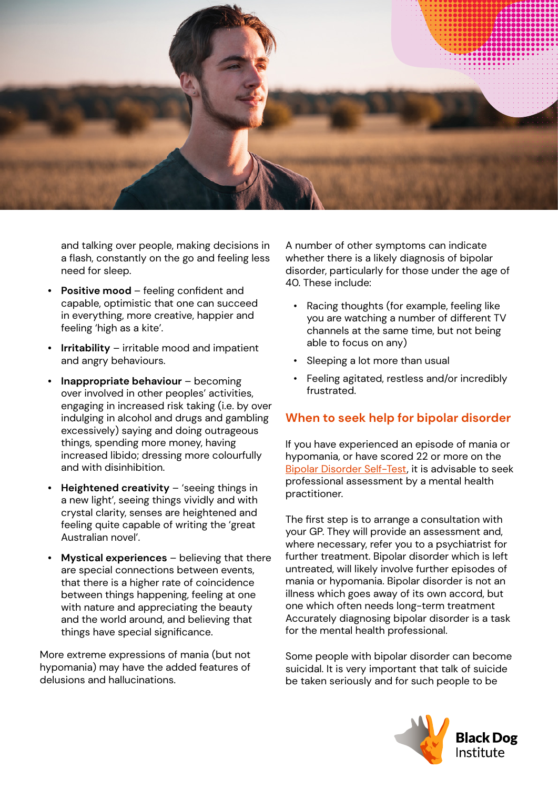

and talking over people, making decisions in a flash, constantly on the go and feeling less need for sleep.

- **• Positive mood**  feeling confident and capable, optimistic that one can succeed in everything, more creative, happier and feeling 'high as a kite'.
- **• Irritability** irritable mood and impatient and angry behaviours.
- **• Inappropriate behaviour** becoming over involved in other peoples' activities, engaging in increased risk taking (i.e. by over indulging in alcohol and drugs and gambling excessively) saying and doing outrageous things, spending more money, having increased libido; dressing more colourfully and with disinhibition.
- **• Heightened creativity** 'seeing things in a new light', seeing things vividly and with crystal clarity, senses are heightened and feeling quite capable of writing the 'great Australian novel'.
- **• Mystical experiences** believing that there are special connections between events, that there is a higher rate of coincidence between things happening, feeling at one with nature and appreciating the beauty and the world around, and believing that things have special significance.

More extreme expressions of mania (but not hypomania) may have the added features of delusions and hallucinations.

A number of other symptoms can indicate whether there is a likely diagnosis of bipolar disorder, particularly for those under the age of 40. These include:

- Racing thoughts (for example, feeling like you are watching a number of different TV channels at the same time, but not being able to focus on any)
- Sleeping a lot more than usual
- Feeling agitated, restless and/or incredibly frustrated.

## **When to seek help for bipolar disorder**

If you have experienced an episode of mania or hypomania, or have scored 22 or more on the [Bipolar Disorder Self-Test](https://www.blackdoginstitute.org.au/resources-support/digital-tools-apps/bipolar-self-test/), it is advisable to seek professional assessment by a mental health practitioner.

The first step is to arrange a consultation with your GP. They will provide an assessment and, where necessary, refer you to a psychiatrist for further treatment. Bipolar disorder which is left untreated, will likely involve further episodes of mania or hypomania. Bipolar disorder is not an illness which goes away of its own accord, but one which often needs long-term treatment Accurately diagnosing bipolar disorder is a task for the mental health professional.

Some people with bipolar disorder can become suicidal. It is very important that talk of suicide be taken seriously and for such people to be